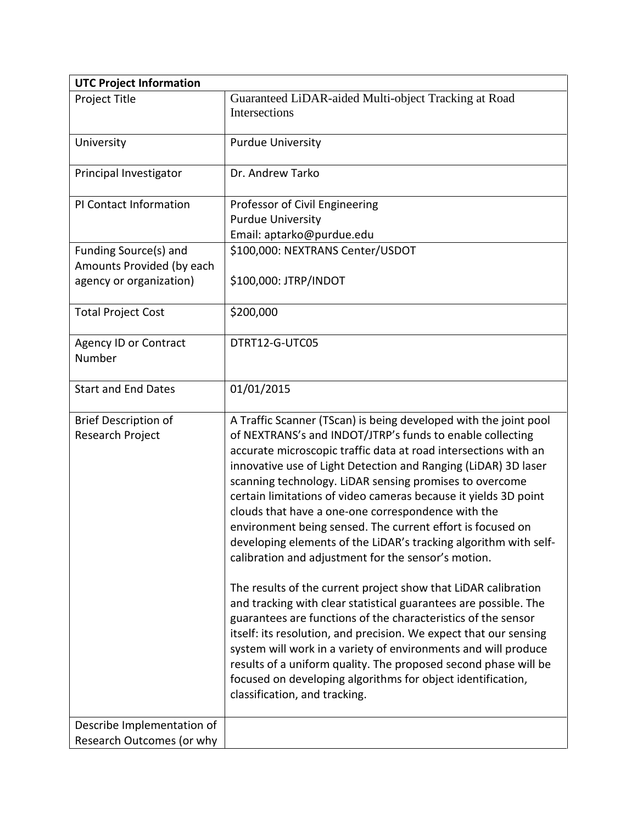| <b>UTC Project Information</b>                                                |                                                                                                                                                                                                                                                                                                                                                                                                                                                                                                                                                                                                                                                                                                                                                                                                                                                                                                                                                                                               |
|-------------------------------------------------------------------------------|-----------------------------------------------------------------------------------------------------------------------------------------------------------------------------------------------------------------------------------------------------------------------------------------------------------------------------------------------------------------------------------------------------------------------------------------------------------------------------------------------------------------------------------------------------------------------------------------------------------------------------------------------------------------------------------------------------------------------------------------------------------------------------------------------------------------------------------------------------------------------------------------------------------------------------------------------------------------------------------------------|
| Project Title                                                                 | Guaranteed LiDAR-aided Multi-object Tracking at Road<br>Intersections                                                                                                                                                                                                                                                                                                                                                                                                                                                                                                                                                                                                                                                                                                                                                                                                                                                                                                                         |
| University                                                                    | <b>Purdue University</b>                                                                                                                                                                                                                                                                                                                                                                                                                                                                                                                                                                                                                                                                                                                                                                                                                                                                                                                                                                      |
| Principal Investigator                                                        | Dr. Andrew Tarko                                                                                                                                                                                                                                                                                                                                                                                                                                                                                                                                                                                                                                                                                                                                                                                                                                                                                                                                                                              |
| PI Contact Information                                                        | Professor of Civil Engineering<br><b>Purdue University</b><br>Email: aptarko@purdue.edu                                                                                                                                                                                                                                                                                                                                                                                                                                                                                                                                                                                                                                                                                                                                                                                                                                                                                                       |
| Funding Source(s) and<br>Amounts Provided (by each<br>agency or organization) | \$100,000: NEXTRANS Center/USDOT<br>\$100,000: JTRP/INDOT                                                                                                                                                                                                                                                                                                                                                                                                                                                                                                                                                                                                                                                                                                                                                                                                                                                                                                                                     |
| <b>Total Project Cost</b>                                                     | \$200,000                                                                                                                                                                                                                                                                                                                                                                                                                                                                                                                                                                                                                                                                                                                                                                                                                                                                                                                                                                                     |
| <b>Agency ID or Contract</b><br>Number                                        | DTRT12-G-UTC05                                                                                                                                                                                                                                                                                                                                                                                                                                                                                                                                                                                                                                                                                                                                                                                                                                                                                                                                                                                |
| <b>Start and End Dates</b>                                                    | 01/01/2015                                                                                                                                                                                                                                                                                                                                                                                                                                                                                                                                                                                                                                                                                                                                                                                                                                                                                                                                                                                    |
| <b>Brief Description of</b><br>Research Project                               | A Traffic Scanner (TScan) is being developed with the joint pool<br>of NEXTRANS's and INDOT/JTRP's funds to enable collecting<br>accurate microscopic traffic data at road intersections with an<br>innovative use of Light Detection and Ranging (LiDAR) 3D laser<br>scanning technology. LiDAR sensing promises to overcome<br>certain limitations of video cameras because it yields 3D point<br>clouds that have a one-one correspondence with the<br>environment being sensed. The current effort is focused on<br>developing elements of the LiDAR's tracking algorithm with self-<br>calibration and adjustment for the sensor's motion.<br>The results of the current project show that LiDAR calibration<br>and tracking with clear statistical guarantees are possible. The<br>guarantees are functions of the characteristics of the sensor<br>itself: its resolution, and precision. We expect that our sensing<br>system will work in a variety of environments and will produce |
|                                                                               | results of a uniform quality. The proposed second phase will be<br>focused on developing algorithms for object identification,<br>classification, and tracking.                                                                                                                                                                                                                                                                                                                                                                                                                                                                                                                                                                                                                                                                                                                                                                                                                               |
| Describe Implementation of<br>Research Outcomes (or why                       |                                                                                                                                                                                                                                                                                                                                                                                                                                                                                                                                                                                                                                                                                                                                                                                                                                                                                                                                                                                               |